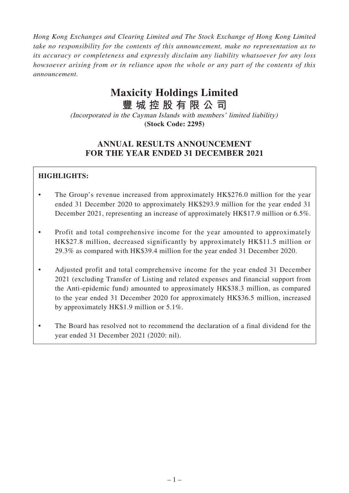*Hong Kong Exchanges and Clearing Limited and The Stock Exchange of Hong Kong Limited take no responsibility for the contents of this announcement, make no representation as to its accuracy or completeness and expressly disclaim any liability whatsoever for any loss howsoever arising from or in reliance upon the whole or any part of the contents of this announcement.*

# **Maxicity Holdings Limited**

**豐城控股有限公司** (Incorporated in the Cayman Islands with members' limited liability)

**(Stock Code: 2295)**

# **ANNUAL RESULTS ANNOUNCEMENT FOR THE YEAR ENDED 31 DECEMBER 2021**

# **HIGHLIGHTS:**

- The Group's revenue increased from approximately HK\$276.0 million for the year ended 31 December 2020 to approximately HK\$293.9 million for the year ended 31 December 2021, representing an increase of approximately HK\$17.9 million or 6.5%.
- Profit and total comprehensive income for the year amounted to approximately HK\$27.8 million, decreased significantly by approximately HK\$11.5 million or 29.3% as compared with HK\$39.4 million for the year ended 31 December 2020.
- Adjusted profit and total comprehensive income for the year ended 31 December 2021 (excluding Transfer of Listing and related expenses and financial support from the Anti-epidemic fund) amounted to approximately HK\$38.3 million, as compared to the year ended 31 December 2020 for approximately HK\$36.5 million, increased by approximately HK\$1.9 million or 5.1%.
- The Board has resolved not to recommend the declaration of a final dividend for the year ended 31 December 2021 (2020: nil).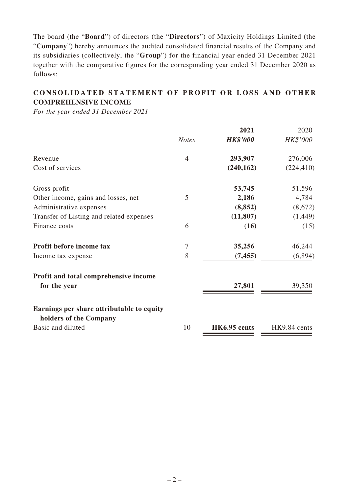The board (the "**Board**") of directors (the "**Directors**") of Maxicity Holdings Limited (the "**Company**") hereby announces the audited consolidated financial results of the Company and its subsidiaries (collectively, the "**Group**") for the financial year ended 31 December 2021 together with the comparative figures for the corresponding year ended 31 December 2020 as follows:

# **CONSOLIDATED STATEMENT OF PROFIT OR LOSS AND OTHER COMPREHENSIVE INCOME**

*For the year ended 31 December 2021*

|                                                                     |                | 2021            | 2020         |
|---------------------------------------------------------------------|----------------|-----------------|--------------|
|                                                                     | <b>Notes</b>   | <b>HK\$'000</b> | HK\$'000     |
| Revenue                                                             | $\overline{4}$ | 293,907         | 276,006      |
| Cost of services                                                    |                | (240, 162)      | (224, 410)   |
| Gross profit                                                        |                | 53,745          | 51,596       |
| Other income, gains and losses, net                                 | 5              | 2,186           | 4,784        |
| Administrative expenses                                             |                | (8, 852)        | (8,672)      |
| Transfer of Listing and related expenses                            |                | (11, 807)       | (1,449)      |
| Finance costs                                                       | 6              | (16)            | (15)         |
| Profit before income tax                                            | $\tau$         | 35,256          | 46,244       |
| Income tax expense                                                  | 8              | (7, 455)        | (6,894)      |
| Profit and total comprehensive income                               |                |                 |              |
| for the year                                                        |                | 27,801          | 39,350       |
| Earnings per share attributable to equity<br>holders of the Company |                |                 |              |
| Basic and diluted                                                   | 10             | HK6.95 cents    | HK9.84 cents |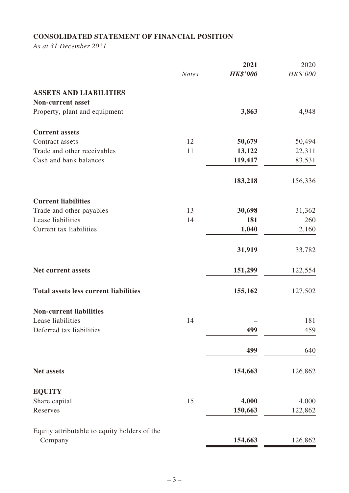# **CONSOLIDATED STATEMENT OF FINANCIAL POSITION**

*As at 31 December 2021*

|                                              |              | 2021            | 2020     |
|----------------------------------------------|--------------|-----------------|----------|
|                                              | <b>Notes</b> | <b>HK\$'000</b> | HK\$'000 |
| <b>ASSETS AND LIABILITIES</b>                |              |                 |          |
| <b>Non-current asset</b>                     |              |                 |          |
| Property, plant and equipment                |              | 3,863           | 4,948    |
| <b>Current assets</b>                        |              |                 |          |
| Contract assets                              | 12           | 50,679          | 50,494   |
| Trade and other receivables                  | 11           | 13,122          | 22,311   |
| Cash and bank balances                       |              | 119,417         | 83,531   |
|                                              |              | 183,218         | 156,336  |
| <b>Current liabilities</b>                   |              |                 |          |
| Trade and other payables                     | 13           | 30,698          | 31,362   |
| Lease liabilities                            | 14           | 181             | 260      |
| Current tax liabilities                      |              | 1,040           | 2,160    |
|                                              |              | 31,919          | 33,782   |
| Net current assets                           |              | 151,299         | 122,554  |
| <b>Total assets less current liabilities</b> |              | 155,162         | 127,502  |
| <b>Non-current liabilities</b>               |              |                 |          |
| Lease liabilities                            | 14           |                 | 181      |
| Deferred tax liabilities                     |              | 499             | 459      |
|                                              |              | 499             | 640      |
| <b>Net assets</b>                            |              | 154,663         | 126,862  |
| <b>EQUITY</b>                                |              |                 |          |
| Share capital                                | 15           | 4,000           | 4,000    |
| Reserves                                     |              | 150,663         | 122,862  |
| Equity attributable to equity holders of the |              |                 |          |
| Company                                      |              | 154,663         | 126,862  |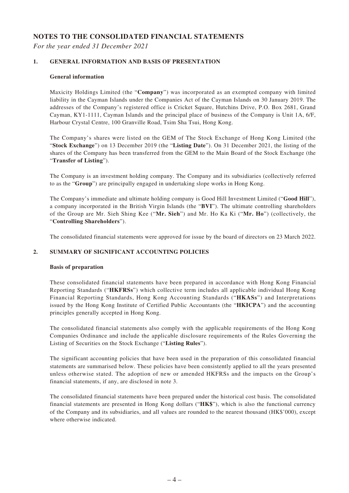#### **NOTES TO THE CONSOLIDATED FINANCIAL STATEMENTS**

*For the year ended 31 December 2021*

#### **1. GENERAL INFORMATION AND BASIS OF PRESENTATION**

#### **General information**

Maxicity Holdings Limited (the "**Company**") was incorporated as an exempted company with limited liability in the Cayman Islands under the Companies Act of the Cayman Islands on 30 January 2019. The addresses of the Company's registered office is Cricket Square, Hutchins Drive, P.O. Box 2681, Grand Cayman, KY1-1111, Cayman Islands and the principal place of business of the Company is Unit 1A, 6/F, Harbour Crystal Centre, 100 Granville Road, Tsim Sha Tsui, Hong Kong.

The Company's shares were listed on the GEM of The Stock Exchange of Hong Kong Limited (the "**Stock Exchange**") on 13 December 2019 (the "**Listing Date**"). On 31 December 2021, the listing of the shares of the Company has been transferred from the GEM to the Main Board of the Stock Exchange (the "**Transfer of Listing**").

The Company is an investment holding company. The Company and its subsidiaries (collectively referred to as the "**Group**") are principally engaged in undertaking slope works in Hong Kong.

The Company's immediate and ultimate holding company is Good Hill Investment Limited ("**Good Hill**"), a company incorporated in the British Virgin Islands (the "**BVI**"). The ultimate controlling shareholders of the Group are Mr. Sieh Shing Kee ("**Mr. Sieh**") and Mr. Ho Ka Ki ("**Mr. Ho**") (collectively, the "**Controlling Shareholders**").

The consolidated financial statements were approved for issue by the board of directors on 23 March 2022.

#### **2. SUMMARY OF SIGNIFICANT ACCOUNTING POLICIES**

#### **Basis of preparation**

These consolidated financial statements have been prepared in accordance with Hong Kong Financial Reporting Standards ("**HKFRSs**") which collective term includes all applicable individual Hong Kong Financial Reporting Standards, Hong Kong Accounting Standards ("**HKASs**") and Interpretations issued by the Hong Kong Institute of Certified Public Accountants (the "**HKICPA**") and the accounting principles generally accepted in Hong Kong.

The consolidated financial statements also comply with the applicable requirements of the Hong Kong Companies Ordinance and include the applicable disclosure requirements of the Rules Governing the Listing of Securities on the Stock Exchange ("**Listing Rules**").

The significant accounting policies that have been used in the preparation of this consolidated financial statements are summarised below. These policies have been consistently applied to all the years presented unless otherwise stated. The adoption of new or amended HKFRSs and the impacts on the Group's financial statements, if any, are disclosed in note 3.

The consolidated financial statements have been prepared under the historical cost basis. The consolidated financial statements are presented in Hong Kong dollars ("**HK\$**"), which is also the functional currency of the Company and its subsidiaries, and all values are rounded to the nearest thousand (HK\$'000), except where otherwise indicated.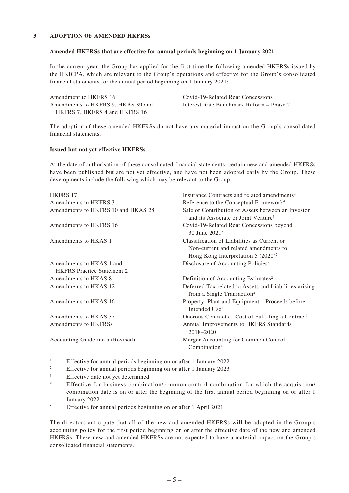#### **3. ADOPTION OF AMENDED HKFRSs**

#### **Amended HKFRSs that are effective for annual periods beginning on 1 January 2021**

In the current year, the Group has applied for the first time the following amended HKFRSs issued by the HKICPA, which are relevant to the Group's operations and effective for the Group's consolidated financial statements for the annual period beginning on 1 January 2021:

Amendment to HKFRS 16 Covid-19-Related Rent Concessions Amendments to HKFRS 9, HKAS 39 and HKFRS 7, HKFRS 4 and HKFRS 16

Interest Rate Benchmark Reform – Phase 2

The adoption of these amended HKFRSs do not have any material impact on the Group's consolidated financial statements.

#### **Issued but not yet effective HKFRSs**

At the date of authorisation of these consolidated financial statements, certain new and amended HKFRSs have been published but are not yet effective, and have not been adopted early by the Group. These developments include the following which may be relevant to the Group.

| <b>HKFRS 17</b>                                               | Insurance Contracts and related amendments <sup>2</sup>                                                                       |
|---------------------------------------------------------------|-------------------------------------------------------------------------------------------------------------------------------|
| Amendments to HKFRS 3                                         | Reference to the Conceptual Framework <sup>4</sup>                                                                            |
| Amendments to HKFRS 10 and HKAS 28                            | Sale or Contribution of Assets between an Investor<br>and its Associate or Joint Venture <sup>3</sup>                         |
| Amendments to HKFRS 16                                        | Covid-19-Related Rent Concessions beyond<br>30 June 2021 <sup>5</sup>                                                         |
| Amendments to HKAS 1                                          | Classification of Liabilities as Current or<br>Non-current and related amendments to<br>Hong Kong Interpretation $5 (2020)^2$ |
| Amendments to HKAS 1 and<br><b>HKFRS</b> Practice Statement 2 | Disclosure of Accounting Policies <sup>2</sup>                                                                                |
| Amendments to HKAS 8                                          | Definition of Accounting Estimates <sup>2</sup>                                                                               |
| Amendments to HKAS 12                                         | Deferred Tax related to Assets and Liabilities arising<br>from a Single Transaction <sup>2</sup>                              |
| Amendments to HKAS 16                                         | Property, Plant and Equipment – Proceeds before<br>Intended Use <sup>1</sup>                                                  |
| Amendments to HKAS 37                                         | Onerous Contracts – Cost of Fulfilling a Contract <sup>1</sup>                                                                |
| Amendments to HKFRSs                                          | Annual Improvements to HKFRS Standards<br>$2018 - 20201$                                                                      |
| Accounting Guideline 5 (Revised)                              | Merger Accounting for Common Control<br>Combination <sup>4</sup>                                                              |

<sup>1</sup> Effective for annual periods beginning on or after 1 January 2022

- <sup>2</sup> Effective for annual periods beginning on or after 1 January 2023
- <sup>3</sup> Effective date not yet determined
- <sup>4</sup> Effective for business combination/common control combination for which the acquisition/ combination date is on or after the beginning of the first annual period beginning on or after 1 January 2022
- <sup>5</sup> Effective for annual periods beginning on or after 1 April 2021

The directors anticipate that all of the new and amended HKFRSs will be adopted in the Group's accounting policy for the first period beginning on or after the effective date of the new and amended HKFRSs. These new and amended HKFRSs are not expected to have a material impact on the Group's consolidated financial statements.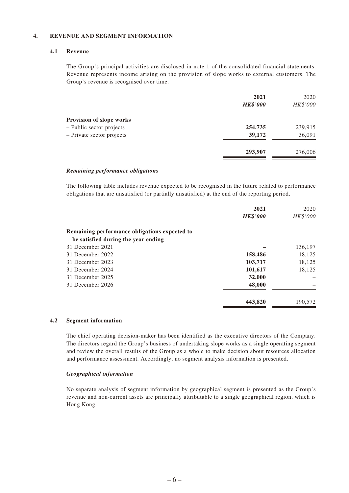#### **4. REVENUE AND SEGMENT INFORMATION**

#### **4.1 Revenue**

The Group's principal activities are disclosed in note 1 of the consolidated financial statements. Revenue represents income arising on the provision of slope works to external customers. The Group's revenue is recognised over time.

|                                 | 2021            | 2020     |
|---------------------------------|-----------------|----------|
|                                 | <b>HK\$'000</b> | HK\$'000 |
| <b>Provision of slope works</b> |                 |          |
| - Public sector projects        | 254,735         | 239,915  |
| - Private sector projects       | 39,172          | 36,091   |
|                                 | 293,907         | 276,006  |
|                                 |                 |          |

#### *Remaining performance obligations*

The following table includes revenue expected to be recognised in the future related to performance obligations that are unsatisfied (or partially unsatisfied) at the end of the reporting period.

|                                               | 2021            | 2020     |
|-----------------------------------------------|-----------------|----------|
|                                               | <b>HK\$'000</b> | HK\$'000 |
| Remaining performance obligations expected to |                 |          |
| be satisfied during the year ending           |                 |          |
| 31 December 2021                              |                 | 136,197  |
| 31 December 2022                              | 158,486         | 18,125   |
| 31 December 2023                              | 103,717         | 18,125   |
| 31 December 2024                              | 101,617         | 18,125   |
| 31 December 2025                              | 32,000          |          |
| 31 December 2026                              | 48,000          |          |
|                                               | 443,820         | 190,572  |

#### **4.2 Segment information**

The chief operating decision-maker has been identified as the executive directors of the Company. The directors regard the Group's business of undertaking slope works as a single operating segment and review the overall results of the Group as a whole to make decision about resources allocation and performance assessment. Accordingly, no segment analysis information is presented.

#### *Geographical information*

No separate analysis of segment information by geographical segment is presented as the Group's revenue and non-current assets are principally attributable to a single geographical region, which is Hong Kong.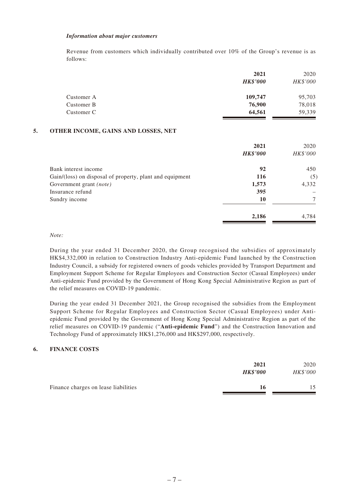#### *Information about major customers*

Revenue from customers which individually contributed over 10% of the Group's revenue is as follows:

|            | 2021            | 2020     |
|------------|-----------------|----------|
|            | <b>HK\$'000</b> | HK\$'000 |
| Customer A | 109,747         | 95,703   |
| Customer B | 76,900          | 78,018   |
| Customer C | 64,561          | 59,339   |

#### **5. OTHER INCOME, GAINS AND LOSSES, NET**

|                                                          | 2021<br><b>HK\$'000</b> | 2020<br>HK\$'000 |
|----------------------------------------------------------|-------------------------|------------------|
| Bank interest income                                     | 92                      | 450              |
| Gain/(loss) on disposal of property, plant and equipment | 116                     | (5)              |
| Government grant (note)                                  | 1,573                   | 4,332            |
| Insurance refund                                         | 395                     |                  |
| Sundry income                                            | 10                      | 7                |
|                                                          | 2,186                   | 4,784            |

#### *Note:*

During the year ended 31 December 2020, the Group recognised the subsidies of approximately HK\$4,332,000 in relation to Construction Industry Anti-epidemic Fund launched by the Construction Industry Council, a subsidy for registered owners of goods vehicles provided by Transport Department and Employment Support Scheme for Regular Employees and Construction Sector (Casual Employees) under Anti-epidemic Fund provided by the Government of Hong Kong Special Administrative Region as part of the relief measures on COVID-19 pandemic.

During the year ended 31 December 2021, the Group recognised the subsidies from the Employment Support Scheme for Regular Employees and Construction Sector (Casual Employees) under Antiepidemic Fund provided by the Government of Hong Kong Special Administrative Region as part of the relief measures on COVID-19 pandemic ("**Anti-epidemic Fund**") and the Construction Innovation and Technology Fund of approximately HK\$1,276,000 and HK\$297,000, respectively.

#### **6. FINANCE COSTS**

|                                      | 2021<br><b>HK\$'000</b> | 2020<br>HK\$'000 |
|--------------------------------------|-------------------------|------------------|
| Finance charges on lease liabilities | 16                      |                  |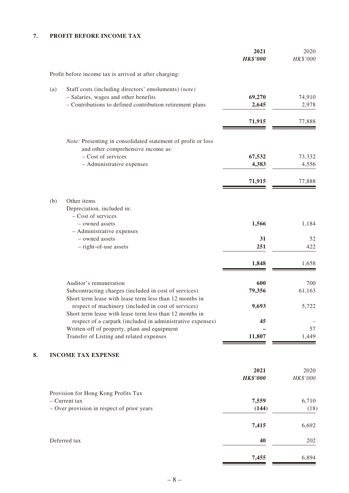### **7. PROFIT BEFORE INCOME TAX**

|     |                                                                                                                | 2021<br><b>HK\$'000</b> | 2020<br>HK\$'000 |
|-----|----------------------------------------------------------------------------------------------------------------|-------------------------|------------------|
|     | Profit before income tax is arrived at after charging:                                                         |                         |                  |
| (a) | Staff costs (including directors' emoluments) (note)                                                           |                         |                  |
|     | - Salaries, wages and other benefits                                                                           | 69,270                  | 74,910           |
|     | - Contributions to defined contribution retirement plans                                                       | 2,645                   | 2,978            |
|     |                                                                                                                | 71,915                  | 77,888           |
|     | Note: Presenting in consolidated statement of profit or loss<br>and other comprehensive income as:             |                         |                  |
|     | - Cost of services                                                                                             | 67,532                  | 73,332           |
|     | - Administrative expenses                                                                                      | 4,383                   | 4,556            |
|     |                                                                                                                | 71,915                  | 77,888           |
| (b) | Other items<br>Depreciation, included in:                                                                      |                         |                  |
|     | - Cost of services                                                                                             |                         |                  |
|     | - owned assets                                                                                                 | 1,566                   | 1,184            |
|     | - Administrative expenses<br>- owned assets                                                                    | 31                      | 52               |
|     | - right-of-use assets                                                                                          | 251                     | 422              |
|     |                                                                                                                |                         |                  |
|     |                                                                                                                | 1,848                   | 1,658            |
|     | Auditor's remuneration                                                                                         | 600                     | 700              |
|     | Subcontracting charges (included in cost of services)                                                          | 79,356                  | 61,163           |
|     | Short term lease with lease term less than 12 months in                                                        |                         |                  |
|     | respect of machinery (included in cost of services)<br>Short term lease with lease term less than 12 months in | 9,693                   | 5,722            |
|     | respect of a carpark (included in administrative expenses)                                                     | 45                      |                  |
|     | Written-off of property, plant and equipment                                                                   |                         | 57               |
|     | Transfer of Listing and related expenses                                                                       | 11,807                  | 1,449            |
|     | <b>INCOME TAX EXPENSE</b>                                                                                      |                         |                  |
|     |                                                                                                                | 2021                    | 2020             |
|     |                                                                                                                | <b>HK\$'000</b>         | HK\$'000         |
|     | Provision for Hong Kong Profits Tax                                                                            |                         |                  |
|     | $-$ Current tax<br>- Over provision in respect of prior years                                                  | 7,559<br>(144)          | 6,710<br>(18)    |
|     |                                                                                                                |                         |                  |
|     |                                                                                                                | 7,415                   | 6,692            |
|     | Deferred tax                                                                                                   | 40                      | 202              |
|     |                                                                                                                | 7,455                   | 6,894            |
|     |                                                                                                                |                         |                  |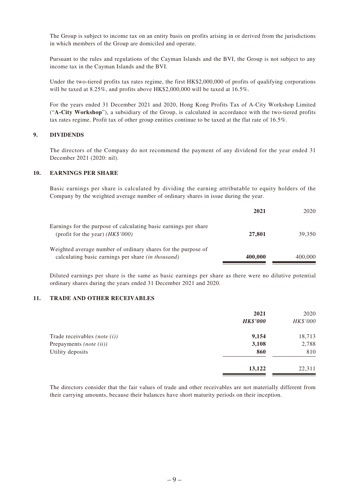The Group is subject to income tax on an entity basis on profits arising in or derived from the jurisdictions in which members of the Group are domiciled and operate.

Pursuant to the rules and regulations of the Cayman Islands and the BVI, the Group is not subject to any income tax in the Cayman Islands and the BVI.

Under the two-tiered profits tax rates regime, the first HK\$2,000,000 of profits of qualifying corporations will be taxed at 8.25%, and profits above HK\$2,000,000 will be taxed at 16.5%.

For the years ended 31 December 2021 and 2020, Hong Kong Profits Tax of A-City Workshop Limited ("**A-City Workshop**"), a subsidiary of the Group, is calculated in accordance with the two-tiered profits tax rates regime. Profit tax of other group entities continue to be taxed at the flat rate of 16.5%.

#### **9. DIVIDENDS**

The directors of the Company do not recommend the payment of any dividend for the year ended 31 December 2021 (2020: nil).

#### **10. EARNINGS PER SHARE**

Basic earnings per share is calculated by dividing the earning attributable to equity holders of the Company by the weighted average number of ordinary shares in issue during the year.

|                                                                                                                     | 2021    | 2020    |
|---------------------------------------------------------------------------------------------------------------------|---------|---------|
| Earnings for the purpose of calculating basic earnings per share<br>(profit for the year) $(HK$'000)$               | 27,801  | 39,350  |
| Weighted average number of ordinary shares for the purpose of<br>calculating basic earnings per share (in thousand) | 400,000 | 400,000 |

Diluted earnings per share is the same as basic earnings per share as there were no dilutive potential ordinary shares during the years ended 31 December 2021 and 2020.

#### **11. TRADE AND OTHER RECEIVABLES**

|                               | 2021            | 2020     |
|-------------------------------|-----------------|----------|
|                               | <b>HK\$'000</b> | HK\$'000 |
| Trade receivables $(note(i))$ | 9,154           | 18,713   |
| Prepayments (note (ii))       | 3,108           | 2,788    |
| Utility deposits              | 860             | 810      |
|                               | 13,122          | 22,311   |

The directors consider that the fair values of trade and other receivables are not materially different from their carrying amounts, because their balances have short maturity periods on their inception.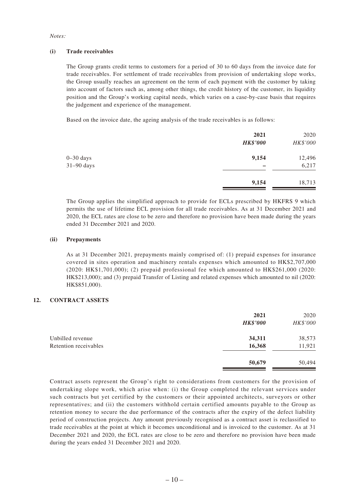#### *Notes:*

#### **(i) Trade receivables**

The Group grants credit terms to customers for a period of 30 to 60 days from the invoice date for trade receivables. For settlement of trade receivables from provision of undertaking slope works, the Group usually reaches an agreement on the term of each payment with the customer by taking into account of factors such as, among other things, the credit history of the customer, its liquidity position and the Group's working capital needs, which varies on a case-by-case basis that requires the judgement and experience of the management.

Based on the invoice date, the ageing analysis of the trade receivables is as follows:

|               | 2021            | 2020     |
|---------------|-----------------|----------|
|               | <b>HK\$'000</b> | HK\$'000 |
| $0 - 30$ days | 9,154           | 12,496   |
| $31-90$ days  |                 | 6,217    |
|               | 9,154           | 18,713   |

The Group applies the simplified approach to provide for ECLs prescribed by HKFRS 9 which permits the use of lifetime ECL provision for all trade receivables. As at 31 December 2021 and 2020, the ECL rates are close to be zero and therefore no provision have been made during the years ended 31 December 2021 and 2020.

#### **(ii) Prepayments**

As at 31 December 2021, prepayments mainly comprised of: (1) prepaid expenses for insurance covered in sites operation and machinery rentals expenses which amounted to HK\$2,707,000 (2020: HK\$1,701,000); (2) prepaid professional fee which amounted to HK\$261,000 (2020: HK\$213,000); and (3) prepaid Transfer of Listing and related expenses which amounted to nil (2020: HK\$851,000).

#### **12. CONTRACT ASSETS**

|                       | 2021<br><b>HK\$'000</b> | 2020<br>HK\$'000 |
|-----------------------|-------------------------|------------------|
| Unbilled revenue      | 34,311                  | 38,573           |
| Retention receivables | 16,368                  | 11,921           |
|                       | 50,679                  | 50,494           |

Contract assets represent the Group's right to considerations from customers for the provision of undertaking slope work, which arise when: (i) the Group completed the relevant services under such contracts but yet certified by the customers or their appointed architects, surveyors or other representatives; and (ii) the customers withhold certain certified amounts payable to the Group as retention money to secure the due performance of the contracts after the expiry of the defect liability period of construction projects. Any amount previously recognised as a contract asset is reclassified to trade receivables at the point at which it becomes unconditional and is invoiced to the customer. As at 31 December 2021 and 2020, the ECL rates are close to be zero and therefore no provision have been made during the years ended 31 December 2021 and 2020.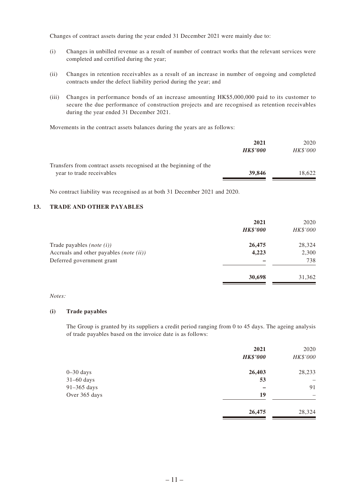Changes of contract assets during the year ended 31 December 2021 were mainly due to:

- (i) Changes in unbilled revenue as a result of number of contract works that the relevant services were completed and certified during the year;
- (ii) Changes in retention receivables as a result of an increase in number of ongoing and completed contracts under the defect liability period during the year; and
- (iii) Changes in performance bonds of an increase amounting HK\$5,000,000 paid to its customer to secure the due performance of construction projects and are recognised as retention receivables during the year ended 31 December 2021.

Movements in the contract assets balances during the years are as follows:

|                                                                                                | 2021<br><b>HK\$'000</b> | 2020<br><b>HK\$'000</b> |
|------------------------------------------------------------------------------------------------|-------------------------|-------------------------|
| Transfers from contract assets recognised at the beginning of the<br>year to trade receivables | 39,846                  | 18.622                  |

No contract liability was recognised as at both 31 December 2021 and 2020.

#### **13. TRADE AND OTHER PAYABLES**

|                                         | 2021            | 2020     |
|-----------------------------------------|-----------------|----------|
|                                         | <b>HK\$'000</b> | HK\$'000 |
| Trade payables $(note(i))$              | 26,475          | 28,324   |
| Accruals and other payables (note (ii)) | 4,223           | 2,300    |
| Deferred government grant               |                 | 738      |
|                                         | 30,698          | 31,362   |

#### *Notes:*

#### **(i) Trade payables**

The Group is granted by its suppliers a credit period ranging from 0 to 45 days. The ageing analysis of trade payables based on the invoice date is as follows:

|               | 2021<br><b>HK\$'000</b> | 2020<br>HK\$'000 |
|---------------|-------------------------|------------------|
| $0 - 30$ days | 26,403                  | 28,233           |
| $31-60$ days  | 53                      | -                |
| 91-365 days   |                         | 91               |
| Over 365 days | 19                      | -                |
|               | 26,475                  | 28,324           |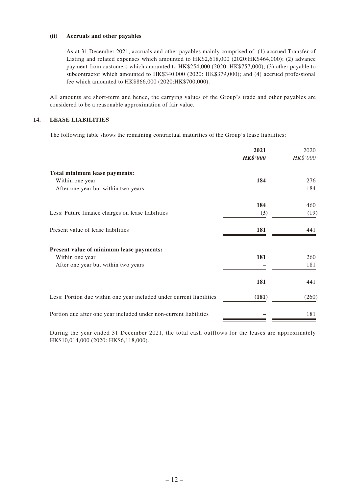#### **(ii) Accruals and other payables**

As at 31 December 2021, accruals and other payables mainly comprised of: (1) accrued Transfer of Listing and related expenses which amounted to HK\$2,618,000 (2020:HK\$464,000); (2) advance payment from customers which amounted to HK\$254,000 (2020: HK\$757,000); (3) other payable to subcontractor which amounted to HK\$340,000 (2020: HK\$379,000); and (4) accrued professional fee which amounted to HK\$866,000 (2020:HK\$700,000).

All amounts are short-term and hence, the carrying values of the Group's trade and other payables are considered to be a reasonable approximation of fair value.

#### **14. LEASE LIABILITIES**

The following table shows the remaining contractual maturities of the Group's lease liabilities:

|                                                                      | 2021<br><b>HK\$'000</b> | 2020<br>HK\$'000 |
|----------------------------------------------------------------------|-------------------------|------------------|
| Total minimum lease payments:                                        |                         |                  |
| Within one year                                                      | 184                     | 276              |
| After one year but within two years                                  |                         | 184              |
|                                                                      | 184                     | 460              |
| Less: Future finance charges on lease liabilities                    | (3)                     | (19)             |
| Present value of lease liabilities                                   | 181                     | 441              |
| Present value of minimum lease payments:                             |                         |                  |
| Within one year                                                      | 181                     | 260              |
| After one year but within two years                                  |                         | 181              |
|                                                                      | 181                     | 441              |
| Less: Portion due within one year included under current liabilities | (181)                   | (260)            |
| Portion due after one year included under non-current liabilities    |                         | 181              |

During the year ended 31 December 2021, the total cash outflows for the leases are approximately HK\$10,014,000 (2020: HK\$6,118,000).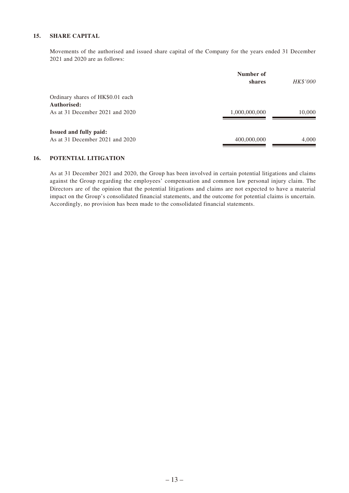#### **15. SHARE CAPITAL**

Movements of the authorised and issued share capital of the Company for the years ended 31 December 2021 and 2020 are as follows:

|                                   | Number of<br>shares | <b>HK\$'000</b> |
|-----------------------------------|---------------------|-----------------|
| Ordinary shares of HK\$0.01 each  |                     |                 |
| Authorised:                       |                     |                 |
| As at 31 December 2021 and 2020   | 1,000,000,000       | 10,000          |
| <b>Issued and fully paid:</b>     |                     |                 |
| As at 31 December 2021 and $2020$ | 400,000,000         | 4,000           |

#### **16. POTENTIAL LITIGATION**

As at 31 December 2021 and 2020, the Group has been involved in certain potential litigations and claims against the Group regarding the employees' compensation and common law personal injury claim. The Directors are of the opinion that the potential litigations and claims are not expected to have a material impact on the Group's consolidated financial statements, and the outcome for potential claims is uncertain. Accordingly, no provision has been made to the consolidated financial statements.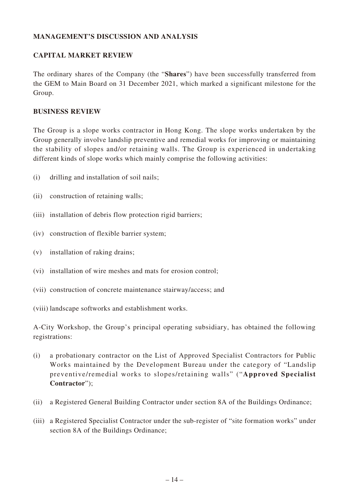### **MANAGEMENT'S DISCUSSION AND ANALYSIS**

### **CAPITAL MARKET REVIEW**

The ordinary shares of the Company (the "**Shares**") have been successfully transferred from the GEM to Main Board on 31 December 2021, which marked a significant milestone for the Group.

### **BUSINESS REVIEW**

The Group is a slope works contractor in Hong Kong. The slope works undertaken by the Group generally involve landslip preventive and remedial works for improving or maintaining the stability of slopes and/or retaining walls. The Group is experienced in undertaking different kinds of slope works which mainly comprise the following activities:

- (i) drilling and installation of soil nails;
- (ii) construction of retaining walls;
- (iii) installation of debris flow protection rigid barriers;
- (iv) construction of flexible barrier system;
- (v) installation of raking drains;
- (vi) installation of wire meshes and mats for erosion control;
- (vii) construction of concrete maintenance stairway/access; and

(viii) landscape softworks and establishment works.

A-City Workshop, the Group's principal operating subsidiary, has obtained the following registrations:

- (i) a probationary contractor on the List of Approved Specialist Contractors for Public Works maintained by the Development Bureau under the category of "Landslip preventive/remedial works to slopes/retaining walls" ("**Approved Specialist Contractor**");
- (ii) a Registered General Building Contractor under section 8A of the Buildings Ordinance;
- (iii) a Registered Specialist Contractor under the sub-register of "site formation works" under section 8A of the Buildings Ordinance;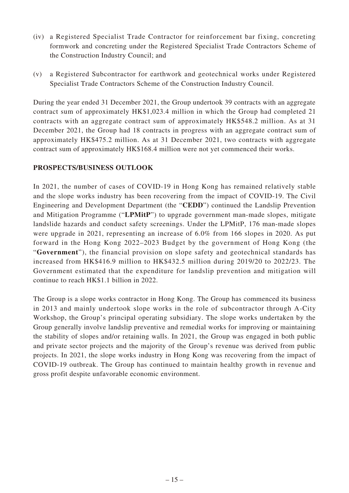- (iv) a Registered Specialist Trade Contractor for reinforcement bar fixing, concreting formwork and concreting under the Registered Specialist Trade Contractors Scheme of the Construction Industry Council; and
- (v) a Registered Subcontractor for earthwork and geotechnical works under Registered Specialist Trade Contractors Scheme of the Construction Industry Council.

During the year ended 31 December 2021, the Group undertook 39 contracts with an aggregate contract sum of approximately HK\$1,023.4 million in which the Group had completed 21 contracts with an aggregate contract sum of approximately HK\$548.2 million. As at 31 December 2021, the Group had 18 contracts in progress with an aggregate contract sum of approximately HK\$475.2 million. As at 31 December 2021, two contracts with aggregate contract sum of approximately HK\$168.4 million were not yet commenced their works.

### **PROSPECTS/BUSINESS OUTLOOK**

In 2021, the number of cases of COVID-19 in Hong Kong has remained relatively stable and the slope works industry has been recovering from the impact of COVID-19. The Civil Engineering and Development Department (the "**CEDD**") continued the Landslip Prevention and Mitigation Programme ("**LPMitP**") to upgrade government man-made slopes, mitigate landslide hazards and conduct safety screenings. Under the LPMitP, 176 man-made slopes were upgrade in 2021, representing an increase of 6.0% from 166 slopes in 2020. As put forward in the Hong Kong 2022–2023 Budget by the government of Hong Kong (the "**Government**"), the financial provision on slope safety and geotechnical standards has increased from HK\$416.9 million to HK\$432.5 million during 2019/20 to 2022/23. The Government estimated that the expenditure for landslip prevention and mitigation will continue to reach HK\$1.1 billion in 2022.

The Group is a slope works contractor in Hong Kong. The Group has commenced its business in 2013 and mainly undertook slope works in the role of subcontractor through A-City Workshop, the Group's principal operating subsidiary. The slope works undertaken by the Group generally involve landslip preventive and remedial works for improving or maintaining the stability of slopes and/or retaining walls. In 2021, the Group was engaged in both public and private sector projects and the majority of the Group's revenue was derived from public projects. In 2021, the slope works industry in Hong Kong was recovering from the impact of COVID-19 outbreak. The Group has continued to maintain healthy growth in revenue and gross profit despite unfavorable economic environment.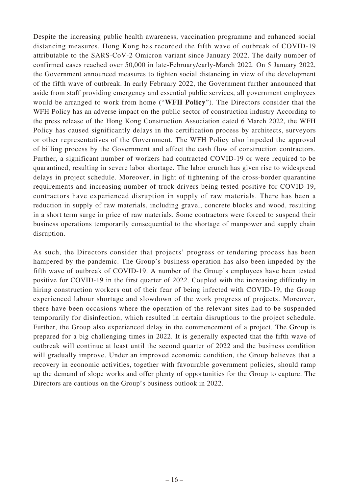Despite the increasing public health awareness, vaccination programme and enhanced social distancing measures, Hong Kong has recorded the fifth wave of outbreak of COVID-19 attributable to the SARS-CoV-2 Omicron variant since January 2022. The daily number of confirmed cases reached over 50,000 in late-February/early-March 2022. On 5 January 2022, the Government announced measures to tighten social distancing in view of the development of the fifth wave of outbreak. In early February 2022, the Government further announced that aside from staff providing emergency and essential public services, all government employees would be arranged to work from home ("**WFH Policy**"). The Directors consider that the WFH Policy has an adverse impact on the public sector of construction industry According to the press release of the Hong Kong Construction Association dated 6 March 2022, the WFH Policy has caused significantly delays in the certification process by architects, surveyors or other representatives of the Government. The WFH Policy also impeded the approval of billing process by the Government and affect the cash flow of construction contractors. Further, a significant number of workers had contracted COVID-19 or were required to be quarantined, resulting in severe labor shortage. The labor crunch has given rise to widespread delays in project schedule. Moreover, in light of tightening of the cross-border quarantine requirements and increasing number of truck drivers being tested positive for COVID-19, contractors have experienced disruption in supply of raw materials. There has been a reduction in supply of raw materials, including gravel, concrete blocks and wood, resulting in a short term surge in price of raw materials. Some contractors were forced to suspend their business operations temporarily consequential to the shortage of manpower and supply chain disruption.

As such, the Directors consider that projects' progress or tendering process has been hampered by the pandemic. The Group's business operation has also been impeded by the fifth wave of outbreak of COVID-19. A number of the Group's employees have been tested positive for COVID-19 in the first quarter of 2022. Coupled with the increasing difficulty in hiring construction workers out of their fear of being infected with COVID-19, the Group experienced labour shortage and slowdown of the work progress of projects. Moreover, there have been occasions where the operation of the relevant sites had to be suspended temporarily for disinfection, which resulted in certain disruptions to the project schedule. Further, the Group also experienced delay in the commencement of a project. The Group is prepared for a big challenging times in 2022. It is generally expected that the fifth wave of outbreak will continue at least until the second quarter of 2022 and the business condition will gradually improve. Under an improved economic condition, the Group believes that a recovery in economic activities, together with favourable government policies, should ramp up the demand of slope works and offer plenty of opportunities for the Group to capture. The Directors are cautious on the Group's business outlook in 2022.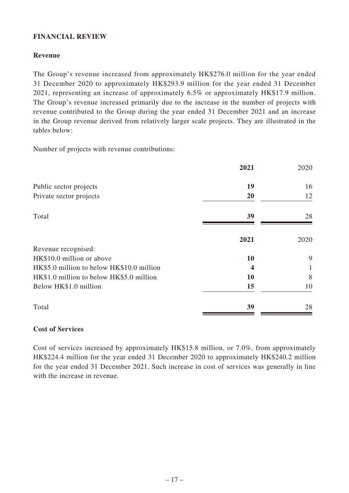### **FINANCIAL REVIEW**

### **Revenue**

The Group's revenue increased from approximately HK\$276.0 million for the year ended 31 December 2020 to approximately HK\$293.9 million for the year ended 31 December 2021, representing an increase of approximately 6.5% or approximately HK\$17.9 million. The Group's revenue increased primarily due to the increase in the number of projects with revenue contributed to the Group during the year ended 31 December 2021 and an increase in the Group revenue derived from relatively larger scale projects. They are illustrated in the tables below:

Number of projects with revenue contributions:

|                                           | 2021 | 2020 |
|-------------------------------------------|------|------|
| Public sector projects                    | 19   | 16   |
| Private sector projects                   | 20   | 12   |
| Total                                     | 39   | 28   |
|                                           | 2021 | 2020 |
| Revenue recognised:                       |      |      |
| HK\$10.0 million or above                 | 10   | 9    |
| HK\$5.0 million to below HK\$10.0 million | 4    | 1    |
| HK\$1.0 million to below HK\$5.0 million  | 10   | 8    |
| Below HK\$1.0 million                     | 15   | 10   |
| Total                                     | 39   | 28   |

### **Cost of Services**

Cost of services increased by approximately HK\$15.8 million, or 7.0%, from approximately HK\$224.4 million for the year ended 31 December 2020 to approximately HK\$240.2 million for the year ended 31 December 2021. Such increase in cost of services was generally in line with the increase in revenue.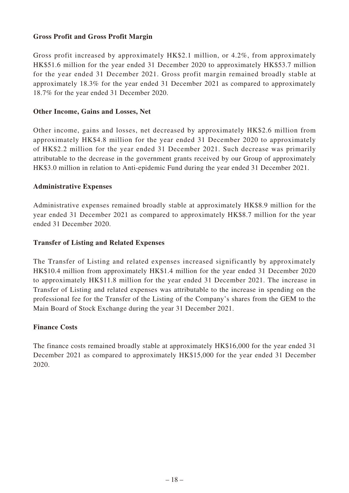### **Gross Profit and Gross Profit Margin**

Gross profit increased by approximately HK\$2.1 million, or 4.2%, from approximately HK\$51.6 million for the year ended 31 December 2020 to approximately HK\$53.7 million for the year ended 31 December 2021. Gross profit margin remained broadly stable at approximately 18.3% for the year ended 31 December 2021 as compared to approximately 18.7% for the year ended 31 December 2020.

### **Other Income, Gains and Losses, Net**

Other income, gains and losses, net decreased by approximately HK\$2.6 million from approximately HK\$4.8 million for the year ended 31 December 2020 to approximately of HK\$2.2 million for the year ended 31 December 2021. Such decrease was primarily attributable to the decrease in the government grants received by our Group of approximately HK\$3.0 million in relation to Anti-epidemic Fund during the year ended 31 December 2021.

### **Administrative Expenses**

Administrative expenses remained broadly stable at approximately HK\$8.9 million for the year ended 31 December 2021 as compared to approximately HK\$8.7 million for the year ended 31 December 2020.

### **Transfer of Listing and Related Expenses**

The Transfer of Listing and related expenses increased significantly by approximately HK\$10.4 million from approximately HK\$1.4 million for the year ended 31 December 2020 to approximately HK\$11.8 million for the year ended 31 December 2021. The increase in Transfer of Listing and related expenses was attributable to the increase in spending on the professional fee for the Transfer of the Listing of the Company's shares from the GEM to the Main Board of Stock Exchange during the year 31 December 2021.

### **Finance Costs**

The finance costs remained broadly stable at approximately HK\$16,000 for the year ended 31 December 2021 as compared to approximately HK\$15,000 for the year ended 31 December 2020.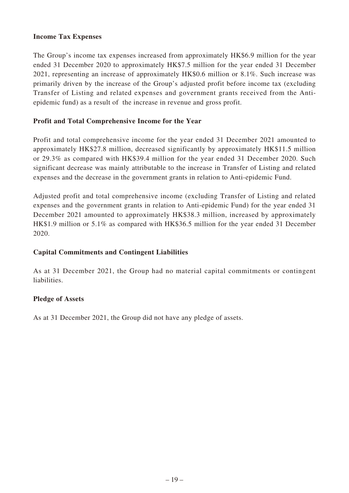### **Income Tax Expenses**

The Group's income tax expenses increased from approximately HK\$6.9 million for the year ended 31 December 2020 to approximately HK\$7.5 million for the year ended 31 December 2021, representing an increase of approximately HK\$0.6 million or 8.1%. Such increase was primarily driven by the increase of the Group's adjusted profit before income tax (excluding Transfer of Listing and related expenses and government grants received from the Antiepidemic fund) as a result of the increase in revenue and gross profit.

#### **Profit and Total Comprehensive Income for the Year**

Profit and total comprehensive income for the year ended 31 December 2021 amounted to approximately HK\$27.8 million, decreased significantly by approximately HK\$11.5 million or 29.3% as compared with HK\$39.4 million for the year ended 31 December 2020. Such significant decrease was mainly attributable to the increase in Transfer of Listing and related expenses and the decrease in the government grants in relation to Anti-epidemic Fund.

Adjusted profit and total comprehensive income (excluding Transfer of Listing and related expenses and the government grants in relation to Anti-epidemic Fund) for the year ended 31 December 2021 amounted to approximately HK\$38.3 million, increased by approximately HK\$1.9 million or 5.1% as compared with HK\$36.5 million for the year ended 31 December 2020.

### **Capital Commitments and Contingent Liabilities**

As at 31 December 2021, the Group had no material capital commitments or contingent liabilities.

### **Pledge of Assets**

As at 31 December 2021, the Group did not have any pledge of assets.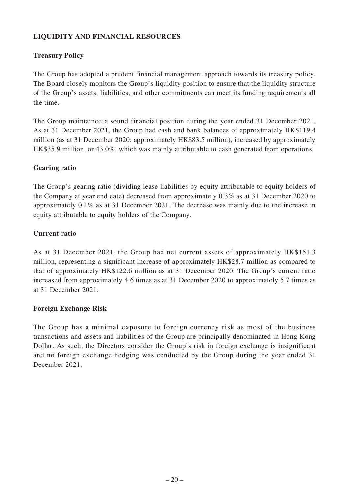# **LIQUIDITY AND FINANCIAL RESOURCES**

# **Treasury Policy**

The Group has adopted a prudent financial management approach towards its treasury policy. The Board closely monitors the Group's liquidity position to ensure that the liquidity structure of the Group's assets, liabilities, and other commitments can meet its funding requirements all the time.

The Group maintained a sound financial position during the year ended 31 December 2021. As at 31 December 2021, the Group had cash and bank balances of approximately HK\$119.4 million (as at 31 December 2020: approximately HK\$83.5 million), increased by approximately HK\$35.9 million, or 43.0%, which was mainly attributable to cash generated from operations.

### **Gearing ratio**

The Group's gearing ratio (dividing lease liabilities by equity attributable to equity holders of the Company at year end date) decreased from approximately 0.3% as at 31 December 2020 to approximately 0.1% as at 31 December 2021. The decrease was mainly due to the increase in equity attributable to equity holders of the Company.

### **Current ratio**

As at 31 December 2021, the Group had net current assets of approximately HK\$151.3 million, representing a significant increase of approximately HK\$28.7 million as compared to that of approximately HK\$122.6 million as at 31 December 2020. The Group's current ratio increased from approximately 4.6 times as at 31 December 2020 to approximately 5.7 times as at 31 December 2021.

### **Foreign Exchange Risk**

The Group has a minimal exposure to foreign currency risk as most of the business transactions and assets and liabilities of the Group are principally denominated in Hong Kong Dollar. As such, the Directors consider the Group's risk in foreign exchange is insignificant and no foreign exchange hedging was conducted by the Group during the year ended 31 December 2021.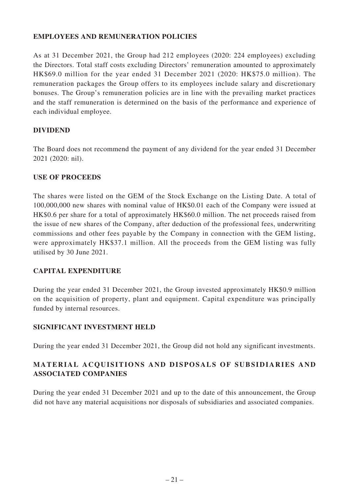### **EMPLOYEES AND REMUNERATION POLICIES**

As at 31 December 2021, the Group had 212 employees (2020: 224 employees) excluding the Directors. Total staff costs excluding Directors' remuneration amounted to approximately HK\$69.0 million for the year ended 31 December 2021 (2020: HK\$75.0 million). The remuneration packages the Group offers to its employees include salary and discretionary bonuses. The Group's remuneration policies are in line with the prevailing market practices and the staff remuneration is determined on the basis of the performance and experience of each individual employee.

### **DIVIDEND**

The Board does not recommend the payment of any dividend for the year ended 31 December 2021 (2020: nil).

### **USE OF PROCEEDS**

The shares were listed on the GEM of the Stock Exchange on the Listing Date. A total of 100,000,000 new shares with nominal value of HK\$0.01 each of the Company were issued at HK\$0.6 per share for a total of approximately HK\$60.0 million. The net proceeds raised from the issue of new shares of the Company, after deduction of the professional fees, underwriting commissions and other fees payable by the Company in connection with the GEM listing, were approximately HK\$37.1 million. All the proceeds from the GEM listing was fully utilised by 30 June 2021.

### **CAPITAL EXPENDITURE**

During the year ended 31 December 2021, the Group invested approximately HK\$0.9 million on the acquisition of property, plant and equipment. Capital expenditure was principally funded by internal resources.

# **SIGNIFICANT INVESTMENT HELD**

During the year ended 31 December 2021, the Group did not hold any significant investments.

# **MATERIAL ACQUISITIONS AND DISPOSALS OF SUBSIDIARIES AND ASSOCIATED COMPANIES**

During the year ended 31 December 2021 and up to the date of this announcement, the Group did not have any material acquisitions nor disposals of subsidiaries and associated companies.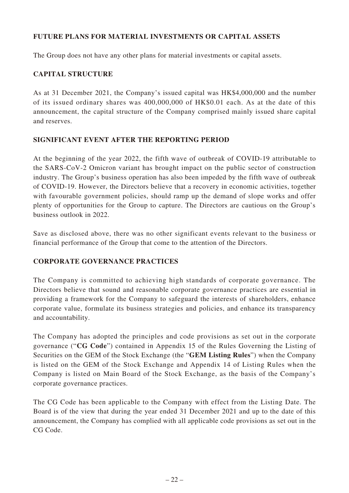### **FUTURE PLANS FOR MATERIAL INVESTMENTS OR CAPITAL ASSETS**

The Group does not have any other plans for material investments or capital assets.

### **CAPITAL STRUCTURE**

As at 31 December 2021, the Company's issued capital was HK\$4,000,000 and the number of its issued ordinary shares was 400,000,000 of HK\$0.01 each. As at the date of this announcement, the capital structure of the Company comprised mainly issued share capital and reserves.

### **SIGNIFICANT EVENT AFTER THE REPORTING PERIOD**

At the beginning of the year 2022, the fifth wave of outbreak of COVID-19 attributable to the SARS-CoV-2 Omicron variant has brought impact on the public sector of construction industry. The Group's business operation has also been impeded by the fifth wave of outbreak of COVID-19. However, the Directors believe that a recovery in economic activities, together with favourable government policies, should ramp up the demand of slope works and offer plenty of opportunities for the Group to capture. The Directors are cautious on the Group's business outlook in 2022.

Save as disclosed above, there was no other significant events relevant to the business or financial performance of the Group that come to the attention of the Directors.

### **CORPORATE GOVERNANCE PRACTICES**

The Company is committed to achieving high standards of corporate governance. The Directors believe that sound and reasonable corporate governance practices are essential in providing a framework for the Company to safeguard the interests of shareholders, enhance corporate value, formulate its business strategies and policies, and enhance its transparency and accountability.

The Company has adopted the principles and code provisions as set out in the corporate governance ("**CG Code**") contained in Appendix 15 of the Rules Governing the Listing of Securities on the GEM of the Stock Exchange (the "**GEM Listing Rules**") when the Company is listed on the GEM of the Stock Exchange and Appendix 14 of Listing Rules when the Company is listed on Main Board of the Stock Exchange, as the basis of the Company's corporate governance practices.

The CG Code has been applicable to the Company with effect from the Listing Date. The Board is of the view that during the year ended 31 December 2021 and up to the date of this announcement, the Company has complied with all applicable code provisions as set out in the CG Code.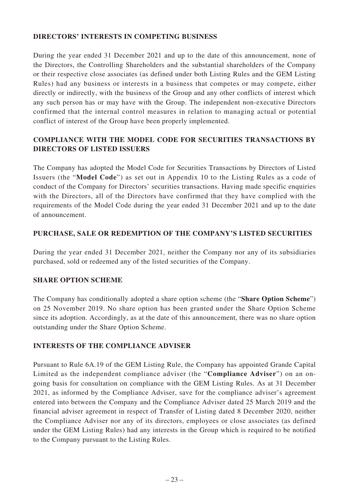### **DIRECTORS' INTERESTS IN COMPETING BUSINESS**

During the year ended 31 December 2021 and up to the date of this announcement, none of the Directors, the Controlling Shareholders and the substantial shareholders of the Company or their respective close associates (as defined under both Listing Rules and the GEM Listing Rules) had any business or interests in a business that competes or may compete, either directly or indirectly, with the business of the Group and any other conflicts of interest which any such person has or may have with the Group. The independent non-executive Directors confirmed that the internal control measures in relation to managing actual or potential conflict of interest of the Group have been properly implemented.

# **COMPLIANCE WITH THE MODEL CODE FOR SECURITIES TRANSACTIONS BY DIRECTORS OF LISTED ISSUERS**

The Company has adopted the Model Code for Securities Transactions by Directors of Listed Issuers (the "**Model Code**") as set out in Appendix 10 to the Listing Rules as a code of conduct of the Company for Directors' securities transactions. Having made specific enquiries with the Directors, all of the Directors have confirmed that they have complied with the requirements of the Model Code during the year ended 31 December 2021 and up to the date of announcement.

### **PURCHASE, SALE OR REDEMPTION OF THE COMPANY'S LISTED SECURITIES**

During the year ended 31 December 2021, neither the Company nor any of its subsidiaries purchased, sold or redeemed any of the listed securities of the Company.

### **SHARE OPTION SCHEME**

The Company has conditionally adopted a share option scheme (the "**Share Option Scheme**") on 25 November 2019. No share option has been granted under the Share Option Scheme since its adoption. Accordingly, as at the date of this announcement, there was no share option outstanding under the Share Option Scheme.

### **INTERESTS OF THE COMPLIANCE ADVISER**

Pursuant to Rule 6A.19 of the GEM Listing Rule, the Company has appointed Grande Capital Limited as the independent compliance adviser (the "**Compliance Adviser**") on an ongoing basis for consultation on compliance with the GEM Listing Rules. As at 31 December 2021, as informed by the Compliance Adviser, save for the compliance adviser's agreement entered into between the Company and the Compliance Adviser dated 25 March 2019 and the financial adviser agreement in respect of Transfer of Listing dated 8 December 2020, neither the Compliance Adviser nor any of its directors, employees or close associates (as defined under the GEM Listing Rules) had any interests in the Group which is required to be notified to the Company pursuant to the Listing Rules.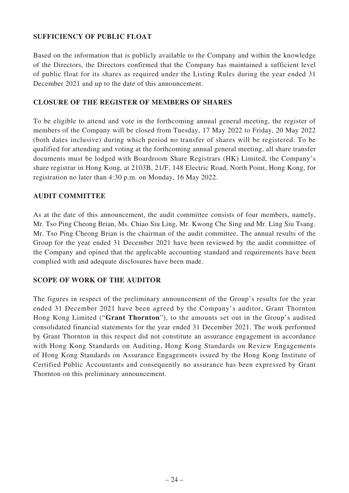### **SUFFICIENCY OF PUBLIC FLOAT**

Based on the information that is publicly available to the Company and within the knowledge of the Directors, the Directors confirmed that the Company has maintained a sufficient level of public float for its shares as required under the Listing Rules during the year ended 31 December 2021 and up to the date of this announcement.

### **CLOSURE OF THE REGISTER OF MEMBERS OF SHARES**

To be eligible to attend and vote in the forthcoming annual general meeting, the register of members of the Company will be closed from Tuesday, 17 May 2022 to Friday, 20 May 2022 (both dates inclusive) during which period no transfer of shares will be registered. To be qualified for attending and voting at the forthcoming annual general meeting, all share transfer documents must be lodged with Boardroom Share Registrars (HK) Limited, the Company's share registrar in Hong Kong, at 2103B, 21/F, 148 Electric Road, North Point, Hong Kong, for registration no later than 4:30 p.m. on Monday, 16 May 2022.

### **AUDIT COMMITTEE**

As at the date of this announcement, the audit committee consists of four members, namely, Mr. Tso Ping Cheong Brian, Ms. Chiao Siu Ling, Mr. Kwong Che Sing and Mr. Ling Siu Tsang. Mr. Tso Ping Cheong Brian is the chairman of the audit committee. The annual results of the Group for the year ended 31 December 2021 have been reviewed by the audit committee of the Company and opined that the applicable accounting standard and requirements have been complied with and adequate disclosures have been made.

### **SCOPE OF WORK OF THE AUDITOR**

The figures in respect of the preliminary announcement of the Group's results for the year ended 31 December 2021 have been agreed by the Company's auditor, Grant Thornton Hong Kong Limited ("**Grant Thornton**"), to the amounts set out in the Group's audited consolidated financial statements for the year ended 31 December 2021. The work performed by Grant Thornton in this respect did not constitute an assurance engagement in accordance with Hong Kong Standards on Auditing, Hong Kong Standards on Review Engagements of Hong Kong Standards on Assurance Engagements issued by the Hong Kong Institute of Certified Public Accountants and consequently no assurance has been expressed by Grant Thornton on this preliminary announcement.